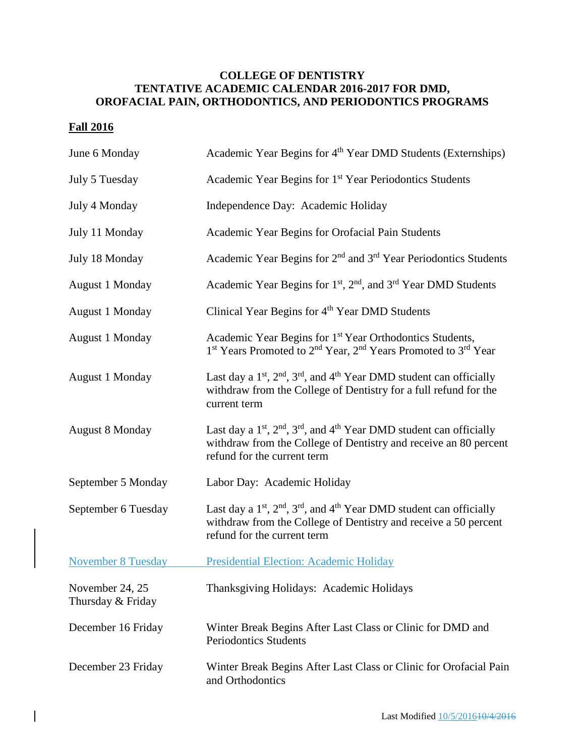## **COLLEGE OF DENTISTRY TENTATIVE ACADEMIC CALENDAR 2016-2017 FOR DMD, OROFACIAL PAIN, ORTHODONTICS, AND PERIODONTICS PROGRAMS**

## **Fall 2016**

| June 6 Monday                        | Academic Year Begins for 4 <sup>th</sup> Year DMD Students (Externships)                                                                                                                                 |
|--------------------------------------|----------------------------------------------------------------------------------------------------------------------------------------------------------------------------------------------------------|
| July 5 Tuesday                       | Academic Year Begins for 1 <sup>st</sup> Year Periodontics Students                                                                                                                                      |
| July 4 Monday                        | Independence Day: Academic Holiday                                                                                                                                                                       |
| July 11 Monday                       | Academic Year Begins for Orofacial Pain Students                                                                                                                                                         |
| July 18 Monday                       | Academic Year Begins for 2 <sup>nd</sup> and 3 <sup>rd</sup> Year Periodontics Students                                                                                                                  |
| <b>August 1 Monday</b>               | Academic Year Begins for 1 <sup>st</sup> , 2 <sup>nd</sup> , and 3 <sup>rd</sup> Year DMD Students                                                                                                       |
| <b>August 1 Monday</b>               | Clinical Year Begins for 4 <sup>th</sup> Year DMD Students                                                                                                                                               |
| <b>August 1 Monday</b>               | Academic Year Begins for 1 <sup>st</sup> Year Orthodontics Students,<br>1 <sup>st</sup> Years Promoted to 2 <sup>nd</sup> Year, 2 <sup>nd</sup> Years Promoted to 3 <sup>rd</sup> Year                   |
| <b>August 1 Monday</b>               | Last day a 1 <sup>st</sup> , 2 <sup>nd</sup> , 3 <sup>rd</sup> , and 4 <sup>th</sup> Year DMD student can officially<br>withdraw from the College of Dentistry for a full refund for the<br>current term |
| <b>August 8 Monday</b>               | Last day a $1st$ , $2nd$ , $3rd$ , and $4th$ Year DMD student can officially<br>withdraw from the College of Dentistry and receive an 80 percent<br>refund for the current term                          |
| September 5 Monday                   | Labor Day: Academic Holiday                                                                                                                                                                              |
| September 6 Tuesday                  | Last day a $1st$ , $2nd$ , $3rd$ , and $4th$ Year DMD student can officially<br>withdraw from the College of Dentistry and receive a 50 percent<br>refund for the current term                           |
| <b>November 8 Tuesday</b>            | Presidential Election: Academic Holiday                                                                                                                                                                  |
| November 24, 25<br>Thursday & Friday | Thanksgiving Holidays: Academic Holidays                                                                                                                                                                 |
| December 16 Friday                   | Winter Break Begins After Last Class or Clinic for DMD and<br><b>Periodontics Students</b>                                                                                                               |
| December 23 Friday                   | Winter Break Begins After Last Class or Clinic for Orofacial Pain<br>and Orthodontics                                                                                                                    |